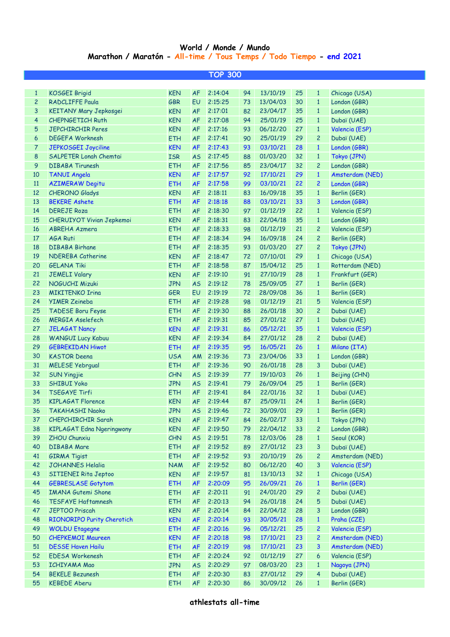## **World / Monde / Mundo Marathon / Maratón - All-time / Tous Temps / Todo Tiempo - end 2021**

| <b>TOP 300</b> |                                  |            |           |            |    |                |    |                |                 |  |  |
|----------------|----------------------------------|------------|-----------|------------|----|----------------|----|----------------|-----------------|--|--|
|                |                                  |            |           |            |    |                |    |                |                 |  |  |
| $\mathbf{1}$   | <b>KOSGEI Brigid</b>             | <b>KEN</b> | <b>AF</b> | 2:14:04    | 94 | 13/10/19       | 25 | $\mathbf{1}$   | Chicago (USA)   |  |  |
| $\overline{c}$ | <b>RADCLIFFE Paula</b>           | <b>GBR</b> | EU        | 2:15:25    | 73 | 13/04/03       | 30 | $\mathbf{1}$   | London (GBR)    |  |  |
| 3              | KEITANY Mary Jepkosgei           | <b>KEN</b> | <b>AF</b> | 2:17:01    | 82 | 23/04/17       | 35 | $\mathbf{1}$   | London (GBR)    |  |  |
| 4              | <b>CHEPNGETICH Ruth</b>          | <b>KEN</b> | <b>AF</b> | 2:17:08    | 94 | 25/01/19       | 25 | $\mathbf{1}$   | Dubaï (UAE)     |  |  |
| 5              | <b>JEPCHIRCHIR Peres</b>         | <b>KEN</b> | <b>AF</b> | 2:17:16    | 93 | 06/12/20       | 27 | $\mathbf{1}$   | Valencia (ESP)  |  |  |
| 6              | <b>DEGEFA Worknesh</b>           | <b>ETH</b> | <b>AF</b> | 2:17:41    | 90 | 25/01/19       | 29 | $\overline{c}$ | Dubaï (UAE)     |  |  |
| $\overline{7}$ | JEPKOSGEI Joyciline              | <b>KEN</b> | <b>AF</b> | 2:17:43    | 93 | 03/10/21       | 28 | $\mathbf{1}$   | London (GBR)    |  |  |
| 8              | SALPETER Lonah Chemtai           | <b>ISR</b> | <b>AS</b> | 2:17:45    | 88 | 01/03/20       | 32 | $\mathbf{1}$   | Tokyo (JPN)     |  |  |
| 9              | <b>DIBABA Tirunesh</b>           | <b>ETH</b> | <b>AF</b> | 2:17:56    | 85 | 23/04/17       | 32 | $\overline{c}$ | London (GBR)    |  |  |
| 10             | <b>TANUI Angela</b>              | <b>KEN</b> | <b>AF</b> | 2:17:57    | 92 | 17/10/21       | 29 | $\mathbf{1}$   | Amsterdam (NED) |  |  |
| 11             | <b>AZIMERAW Degitu</b>           | <b>ETH</b> | <b>AF</b> | 2:17:58    | 99 | 03/10/21       | 22 | $\overline{c}$ | London (GBR)    |  |  |
| 12             | <b>CHERONO Gladys</b>            | <b>KEN</b> | <b>AF</b> | 2:18:11    | 83 | 16/09/18       | 35 | $\mathbf{1}$   | Berlin (GER)    |  |  |
| 13             | <b>BEKERE Ashete</b>             | <b>ETH</b> | <b>AF</b> | 2:18:18    | 88 | 03/10/21       | 33 | 3              | London (GBR)    |  |  |
| 14             | <b>DEREJE Roza</b>               | <b>ETH</b> | <b>AF</b> | 2:18:30    | 97 | 01/12/19       | 22 | $\mathbf{1}$   | Valencia (ESP)  |  |  |
| 15             | CHERUIYOT Vivian Jepkemoi        | <b>KEN</b> | <b>AF</b> | 2:18:31    | 83 | 22/04/18       | 35 | $\mathbf{1}$   | London (GBR)    |  |  |
| 16             | <b>ABREHA Azmera</b>             | <b>ETH</b> | <b>AF</b> | 2:18:33    | 98 | 01/12/19       | 21 | $\overline{c}$ | Valencia (ESP)  |  |  |
| 17             | <b>AGA Ruti</b>                  | <b>ETH</b> | <b>AF</b> | 2:18:34    | 94 | 16/09/18       | 24 | $\overline{c}$ | Berlin (GER)    |  |  |
| 18             | <b>DIBABA Birhane</b>            | <b>ETH</b> | <b>AF</b> | 2:18:35    | 93 | 01/03/20       | 27 | $\overline{c}$ | Tokyo (JPN)     |  |  |
| 19             | NDEREBA Catherine                | <b>KEN</b> | <b>AF</b> | 2:18:47    | 72 | 07/10/01       | 29 | $\mathbf{1}$   | Chicago (USA)   |  |  |
| 20             | <b>GELANA Tiki</b>               | <b>ETH</b> | <b>AF</b> | 2:18:58    | 87 | 15/04/12       | 25 | $\mathbf{1}$   | Rotterdam (NED) |  |  |
| 21             | <b>JEMELI Valary</b>             | <b>KEN</b> | <b>AF</b> | 2:19:10    | 91 | 27/10/19       | 28 | $\mathbf{1}$   | Frankfurt (GER) |  |  |
| 22             | NOGUCHI Mizuki                   | <b>JPN</b> | <b>AS</b> | 2:19:12    | 78 | 25/09/05       | 27 | $\mathbf{1}$   | Berlin (GER)    |  |  |
| 23             | <b>MIKITENKO Irina</b>           | <b>GER</b> | EU        | 2:19:19    | 72 | 28/09/08       | 36 | $\mathbf{1}$   | Berlin (GER)    |  |  |
| 24             | <b>YIMER Zeineba</b>             | <b>ETH</b> | <b>AF</b> | 2:19:28    | 98 | 01/12/19       | 21 | 5              | Valencia (ESP)  |  |  |
| 25             | TADESE Boru Feyse                | <b>ETH</b> | <b>AF</b> | 2:19:30    | 88 | 26/01/18       | 30 | $\overline{c}$ | Dubaï (UAE)     |  |  |
| 26             | <b>MERGIA Aselefech</b>          | <b>ETH</b> | <b>AF</b> | 2:19:31    | 85 | 27/01/12       | 27 | $\mathbf{1}$   | Dubaï (UAE)     |  |  |
| 27             | <b>JELAGAT Nancy</b>             | <b>KEN</b> | <b>AF</b> | 2:19:31    | 86 | 05/12/21       | 35 | $\mathbf{1}$   | Valencia (ESP)  |  |  |
| 28             | <b>WANGUI Lucy Kabuu</b>         | <b>KEN</b> | <b>AF</b> | 2:19:34    | 84 | 27/01/12       | 28 | $\overline{c}$ | Dubaï (UAE)     |  |  |
| 29             | <b>GEBREKIDAN Hiwot</b>          | <b>ETH</b> | <b>AF</b> | 2:19:35    | 95 | 16/05/21       | 26 | $\mathbf{1}$   | Milano (ITA)    |  |  |
| 30             | <b>KASTOR Deena</b>              | <b>USA</b> | AM        | 2:19:36    | 73 | 23/04/06       | 33 | $\mathbf{1}$   | London (GBR)    |  |  |
| 31             | <b>MELESE Yebrgual</b>           | <b>ETH</b> | <b>AF</b> | 2:19:36    | 90 | 26/01/18       | 28 | 3              | Dubaï (UAE)     |  |  |
| 32             | <b>SUN Yingjie</b>               | <b>CHN</b> | <b>AS</b> | 2:19:39    | 77 | 19/10/03       | 26 | $\mathbf{1}$   | Beijing (CHN)   |  |  |
| 33             | <b>SHIBUI Yoko</b>               | <b>JPN</b> | <b>AS</b> | 2:19:41    | 79 | 26/09/04       | 25 | $\mathbf{1}$   | Berlin (GER)    |  |  |
| 34             | <b>TSEGAYE Tirfi</b>             | <b>ETH</b> | <b>AF</b> | 2:19:41    | 84 | 22/01/16       | 32 | $\mathbf{1}$   | Dubaï (UAE)     |  |  |
| 35             | <b>KIPLAGAT Florence</b>         | <b>KEN</b> | <b>AF</b> | 2:19:44    | 87 | 25/09/11       | 24 | $\mathbf{1}$   | Berlin (GER)    |  |  |
| 36             | <b>TAKAHASHI Naoko</b>           | <b>JPN</b> |           | AS 2:19:46 |    | 72 30/09/01 29 |    | $1 -$          | Berlin (GER)    |  |  |
| 37             | CHEPCHIRCHIR Sarah               | <b>KEN</b> | <b>AF</b> | 2:19:47    | 84 | 26/02/17       | 33 | $\mathbf{1}$   | Tokyo (JPN)     |  |  |
| 38             | <b>KIPLAGAT Edna Ngeringwony</b> | <b>KEN</b> | <b>AF</b> | 2:19:50    | 79 | 22/04/12       | 33 | $\overline{c}$ | London (GBR)    |  |  |
| 39             | ZHOU Chunxiu                     | CHN        | <b>AS</b> | 2:19:51    | 78 | 12/03/06       | 28 | $\mathbf{1}$   | Seoul (KOR)     |  |  |
| 40             | <b>DIBABA Mare</b>               | <b>ETH</b> | <b>AF</b> | 2:19:52    | 89 | 27/01/12       | 23 | 3              | Dubaï (UAE)     |  |  |
| 41             | <b>GIRMA Tigist</b>              | <b>ETH</b> | <b>AF</b> | 2:19:52    | 93 | 20/10/19       | 26 | $\overline{c}$ | Amsterdam (NED) |  |  |
| 42             | <b>JOHANNES Helalia</b>          | <b>NAM</b> | <b>AF</b> | 2:19:52    | 80 | 06/12/20       | 40 | 3              | Valencia (ESP)  |  |  |
| 43             | SITIENEI Rita Jeptoo             | <b>KEN</b> | <b>AF</b> | 2:19:57    | 81 | 13/10/13       | 32 | $\mathbf{1}$   | Chicago (USA)   |  |  |
| 44             | <b>GEBRESLASE Gotytom</b>        | <b>ETH</b> | <b>AF</b> | 2:20:09    | 95 | 26/09/21       | 26 | $\mathbf{1}$   | Berlin (GER)    |  |  |
| 45             | <b>IMANA Gutemi Shone</b>        | <b>ETH</b> | <b>AF</b> | 2:20:11    | 91 | 24/01/20       | 29 | $\overline{c}$ | Dubai (UAE)     |  |  |
| 46             | <b>TESFAYE Haftamnesh</b>        | <b>ETH</b> | <b>AF</b> | 2:20:13    | 94 | 26/01/18       | 24 | 5              | Dubaï (UAE)     |  |  |
| 47             | <b>JEPTOO Priscah</b>            | <b>KEN</b> | <b>AF</b> | 2:20:14    | 84 | 22/04/12       | 28 | 3              | London (GBR)    |  |  |
| 48             | RIONORIPO Purity Cherotich       | <b>KEN</b> | <b>AF</b> | 2:20:14    | 93 | 30/05/21       | 28 | $\mathbf{1}$   | Praha (CZE)     |  |  |
| 49             | <b>WOLDU Etagegne</b>            | <b>ETH</b> | <b>AF</b> | 2:20:16    | 96 | 05/12/21       | 25 | $\overline{c}$ | Valencia (ESP)  |  |  |
| 50             | <b>CHEPKEMOI Maureen</b>         | <b>KEN</b> | <b>AF</b> | 2:20:18    | 98 | 17/10/21       | 23 | $\overline{c}$ | Amsterdam (NED) |  |  |
| 51             | <b>DESSE Haven Hailu</b>         | <b>ETH</b> | <b>AF</b> | 2:20:19    | 98 | 17/10/21       | 23 | 3              | Amsterdam (NED) |  |  |
| 52             | <b>EDESA Workenesh</b>           | <b>ETH</b> | <b>AF</b> | 2:20:24    | 92 | 01/12/19       | 27 | 6              | Valencia (ESP)  |  |  |
| 53             | <b>ICHIYAMA Mao</b>              | <b>JPN</b> | <b>AS</b> | 2:20:29    | 97 | 08/03/20       | 23 | $\mathbf{1}$   | Nagoya (JPN)    |  |  |
| 54             | <b>BEKELE Bezunesh</b>           | <b>ETH</b> | <b>AF</b> | 2:20:30    | 83 | 27/01/12       | 29 | $\overline{4}$ | Dubaï (UAE)     |  |  |
| 55             | <b>KEBEDE Aberu</b>              | <b>ETH</b> | <b>AF</b> | 2:20:30    | 86 | 30/09/12       | 26 | $\mathbf{1}$   | Berlin (GER)    |  |  |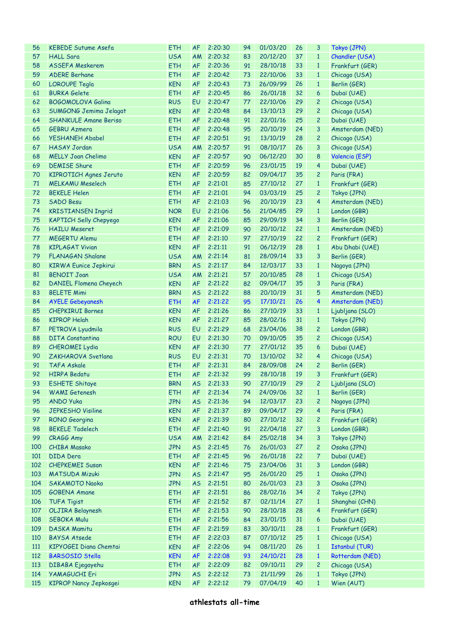| 56  | <b>KEBEDE Sutume Asefa</b>    | <b>ETH</b> | <b>AF</b> | 2:20:30    | 94 | 01/03/20    | 26 | 3              | Tokyo (JPN)           |
|-----|-------------------------------|------------|-----------|------------|----|-------------|----|----------------|-----------------------|
| 57  | <b>HALL Sara</b>              | <b>USA</b> | AM        | 2:20:32    | 83 | 20/12/20    | 37 | $\mathbf{1}$   | Chandler (USA)        |
| 58  | <b>ASSEFA Meskerem</b>        | <b>ETH</b> | <b>AF</b> | 2:20:36    | 91 | 28/10/18    | 33 | $\mathbf{1}$   | Frankfurt (GER)       |
| 59  | <b>ADERE Berhane</b>          | <b>ETH</b> | <b>AF</b> | 2:20:42    | 73 | 22/10/06    | 33 | $\mathbf{1}$   | Chicago (USA)         |
| 60  | <b>LOROUPE Tegla</b>          | <b>KEN</b> | <b>AF</b> | 2:20:43    | 73 | 26/09/99    | 26 | $\mathbf{1}$   | Berlin (GER)          |
| 61  | <b>BURKA Gelete</b>           | <b>ETH</b> | <b>AF</b> | 2:20:45    | 86 | 26/01/18    | 32 | 6              | Dubaï (UAE)           |
| 62  | <b>BOGOMOLOVA Galina</b>      | <b>RUS</b> | EU        | 2:20:47    | 77 | 22/10/06    | 29 | 2              | Chicago (USA)         |
| 63  | SUMGONG Jemima Jelagat        | <b>KEN</b> | <b>AF</b> | 2:20:48    | 84 | 13/10/13    | 29 | 2              | Chicago (USA)         |
| 64  | <b>SHANKULE Amane Beriso</b>  | <b>ETH</b> | <b>AF</b> | 2:20:48    | 91 | 22/01/16    | 25 | 2              | Dubaï (UAE)           |
| 65  | <b>GEBRU Azmera</b>           | <b>ETH</b> | <b>AF</b> | 2:20:48    | 95 | 20/10/19    | 24 | 3              | Amsterdam (NED)       |
| 66  | <b>YESHANEH Ababel</b>        | <b>ETH</b> | <b>AF</b> | 2:20:51    | 91 | 13/10/19    | 28 | 2              | Chicago (USA)         |
| 67  | <b>HASAY Jordan</b>           | <b>USA</b> | AM        | 2:20:57    | 91 | 08/10/17    | 26 | 3              | Chicago (USA)         |
| 68  | <b>MELLY Joan Chelimo</b>     | <b>KEN</b> | <b>AF</b> | 2:20:57    | 90 | 06/12/20    | 30 | 8              | Valencia (ESP)        |
| 69  | <b>DEMISE Shure</b>           | <b>ETH</b> | <b>AF</b> | 2:20:59    | 96 | 23/01/15    | 19 | 4              |                       |
|     |                               |            |           |            |    |             |    |                | Dubaï (UAE)           |
| 70  | KIPROTICH Agnes Jeruto        | <b>KEN</b> | <b>AF</b> | 2:20:59    | 82 | 09/04/17    | 35 | 2              | Paris (FRA)           |
| 71  | <b>MELKAMU Meselech</b>       | <b>ETH</b> | <b>AF</b> | 2:21:01    | 85 | 27/10/12    | 27 | $\mathbf{1}$   | Frankfurt (GER)       |
| 72  | <b>BEKELE Helen</b>           | <b>ETH</b> | <b>AF</b> | 2:21:01    | 94 | 03/03/19    | 25 | 2              | Tokyo (JPN)           |
| 73  | <b>SADO Besu</b>              | <b>ETH</b> | <b>AF</b> | 2:21:03    | 96 | 20/10/19    | 23 | 4              | Amsterdam (NED)       |
| 74  | <b>KRISTIANSEN Ingrid</b>     | <b>NOR</b> | EU        | 2:21:06    | 56 | 21/04/85    | 29 | $\mathbf{1}$   | London (GBR)          |
| 75  | <b>KAPTICH Selly Chepyego</b> | <b>KEN</b> | <b>AF</b> | 2:21:06    | 85 | 29/09/19    | 34 | 3              | Berlin (GER)          |
| 76  | <b>HAILU Meseret</b>          | <b>ETH</b> | <b>AF</b> | 2:21:09    | 90 | 20/10/12    | 22 | $\mathbf{1}$   | Amsterdam (NED)       |
| 77  | <b>MEGERTU Alemu</b>          | <b>ETH</b> | <b>AF</b> | 2:21:10    | 97 | 27/10/19    | 22 | 2              | Frankfurt (GER)       |
| 78  | <b>KIPLAGAT Vivian</b>        | <b>KEN</b> | <b>AF</b> | 2:21:11    | 91 | 06/12/19    | 28 | $\mathbf{1}$   | Abu Dhabi (UAE)       |
| 79  | <b>FLANAGAN Shalane</b>       | <b>USA</b> | AM        | 2:21:14    | 81 | 28/09/14    | 33 | 3              | Berlin (GER)          |
| 80  | <b>KIRWA Eunice Jepkirui</b>  | <b>BRN</b> | <b>AS</b> | 2:21:17    | 84 | 12/03/17    | 33 | $\mathbf{1}$   | Nagoya (JPN)          |
| 81  | <b>BENOIT Joan</b>            | <b>USA</b> | AM        | 2:21:21    | 57 | 20/10/85    | 28 | $\mathbf{1}$   | Chicago (USA)         |
| 82  | DANIEL Flomena Cheyech        | <b>KEN</b> | <b>AF</b> | 2:21:22    | 82 | 09/04/17    | 35 | 3              | Paris (FRA)           |
| 83  | <b>BELETE Mimi</b>            | <b>BRN</b> | <b>AS</b> | 2:21:22    | 88 | 20/10/19    | 31 | 5              | Amsterdam (NED)       |
| 84  | <b>AYELE Gebeyanesh</b>       | <b>ETH</b> | <b>AF</b> | 2:21:22    | 95 | 17/10/21    | 26 | 4              | Amsterdam (NED)       |
| 85  | <b>CHEPKIRUI Bornes</b>       | <b>KEN</b> | <b>AF</b> | 2:21:26    | 86 | 27/10/19    | 33 | $\mathbf{1}$   | Ljubljana (SLO)       |
| 86  | <b>KIPROP Helah</b>           | <b>KEN</b> | <b>AF</b> | 2:21:27    | 85 | 28/02/16    | 31 | $\mathbf{1}$   | Tokyo (JPN)           |
| 87  | PETROVA Lyudmila              | <b>RUS</b> | EU        | 2:21:29    | 68 | 23/04/06    | 38 | $\overline{c}$ | London (GBR)          |
| 88  | <b>DITA Constantina</b>       | <b>ROU</b> | EU        | 2:21:30    | 70 | 09/10/05    | 35 | 2              | Chicago (USA)         |
| 89  | <b>CHEROMEI Lydia</b>         | <b>KEN</b> | <b>AF</b> | 2:21:30    | 77 | 27/01/12    | 35 | 6              | Dubaï (UAE)           |
| 90  | ZAKHAROVA Svetlana            | <b>RUS</b> | EU        | 2:21:31    | 70 | 13/10/02    | 32 | $\overline{4}$ | Chicago (USA)         |
| 91  | <b>TAFA Askale</b>            | <b>ETH</b> | <b>AF</b> | 2:21:31    | 84 | 28/09/08    | 24 | $\overline{c}$ | Berlin (GER)          |
| 92  | <b>HIRPA Bedatu</b>           | <b>ETH</b> | <b>AF</b> | 2:21:32    | 99 | 28/10/18    | 19 | 3              | Frankfurt (GER)       |
| 93  | <b>ESHETE Shitaye</b>         | <b>BRN</b> |           | AS 2:21:33 | 90 | 27/10/19 29 |    |                | 2 Ljubljana (SLO)     |
|     |                               |            |           |            |    |             |    |                |                       |
| 94  | <b>WAMI</b> Getenesh          | <b>ETH</b> | AF        | 2:21:34    | 74 | 24/09/06    | 32 | $\mathbf{1}$   | Berlin (GER)          |
| 95  | <b>ANDO Yuka</b>              | <b>JPN</b> | <b>AS</b> | 2:21:36    | 94 | 12/03/17    | 23 | 2              | Nagoya (JPN)          |
| 96  | <b>JEPKESHO Visiline</b>      | <b>KEN</b> | AF        | 2:21:37    | 89 | 09/04/17    | 29 | 4              | Paris (FRA)           |
| 97  | RONO Georgina                 | <b>KEN</b> | AF        | 2:21:39    | 80 | 27/10/12    | 32 | 2              | Frankfurt (GER)       |
| 98  | <b>BEKELE Tadelech</b>        | <b>ETH</b> | AF        | 2:21:40    | 91 | 22/04/18    | 27 | 3              | London (GBR)          |
| 99  | CRAGG Amy                     | <b>USA</b> | AM        | 2:21:42    | 84 | 25/02/18    | 34 | 3              | Tokyo (JPN)           |
| 100 | <b>CHIBA Masako</b>           | <b>JPN</b> | <b>AS</b> | 2:21:45    | 76 | 26/01/03    | 27 | $\overline{c}$ | Osaka (JPN)           |
| 101 | DIDA Dera                     | <b>ETH</b> | AF        | 2:21:45    | 96 | 26/01/18    | 22 | 7              | Dubaï (UAE)           |
| 102 | <b>CHEPKEMEI Susan</b>        | <b>KEN</b> | AF        | 2:21:46    | 75 | 23/04/06    | 31 | 3              | London (GBR)          |
| 103 | <b>MATSUDA Mizuki</b>         | <b>JPN</b> | <b>AS</b> | 2:21:47    | 95 | 26/01/20    | 25 | $\mathbf{1}$   | Osaka (JPN)           |
| 104 | <b>SAKAMOTO Naoko</b>         | <b>JPN</b> | <b>AS</b> | 2:21:51    | 80 | 26/01/03    | 23 | 3              | Osaka (JPN)           |
| 105 | <b>GOBENA Amane</b>           | <b>ETH</b> | AF        | 2:21:51    | 86 | 28/02/16    | 34 | 2              | Tokyo (JPN)           |
| 106 | <b>TUFA Tigist</b>            | <b>ETH</b> | AF        | 2:21:52    | 87 | 02/11/14    | 27 | $\mathbf{1}$   | Shanghai (CHN)        |
| 107 | <b>OLJIRA Belaynesh</b>       | <b>ETH</b> | AF        | 2:21:53    | 90 | 28/10/18    | 28 | $\overline{4}$ | Frankfurt (GER)       |
| 108 | <b>SEBOKA Mulu</b>            | <b>ETH</b> | AF        | 2:21:56    | 84 | 23/01/15    | 31 | 6              | Dubaï (UAE)           |
| 109 | DASKA Mamitu                  | <b>ETH</b> | AF        | 2:21:59    | 83 | 30/10/11    | 28 | $\mathbf{1}$   | Frankfurt (GER)       |
| 110 | <b>BAYSA Atsede</b>           | <b>ETH</b> | AF        | 2:22:03    | 87 | 07/10/12    | 25 | $\mathbf{1}$   | Chicago (USA)         |
| 111 | KIPYOGEI Diana Chemtai        | <b>KEN</b> | AF        | 2:22:06    | 94 | 08/11/20    | 26 | $\mathbf{1}$   | <b>Istanbul (TUR)</b> |
| 112 | <b>BARSOSIO Stella</b>        | <b>KEN</b> | AF        | 2:22:08    | 93 | 24/10/21    | 28 | $\mathbf{1}$   | Rotterdam (NED)       |
| 113 | DIBABA Ejegayehu              | <b>ETH</b> | AF        | 2:22:09    | 82 | 09/10/11    | 29 | 2              | Chicago (USA)         |
| 114 | <b>YAMAGUCHI Eri</b>          | <b>JPN</b> | <b>AS</b> | 2:22:12    | 73 | 21/11/99    | 26 | $\mathbf{1}$   | Tokyo (JPN)           |
| 115 | <b>KIPROP Nancy Jepkosgei</b> | <b>KEN</b> | AF        | 2:22:12    | 79 | 07/04/19    | 40 | $\mathbf{1}$   | Wien (AUT)            |
|     |                               |            |           |            |    |             |    |                |                       |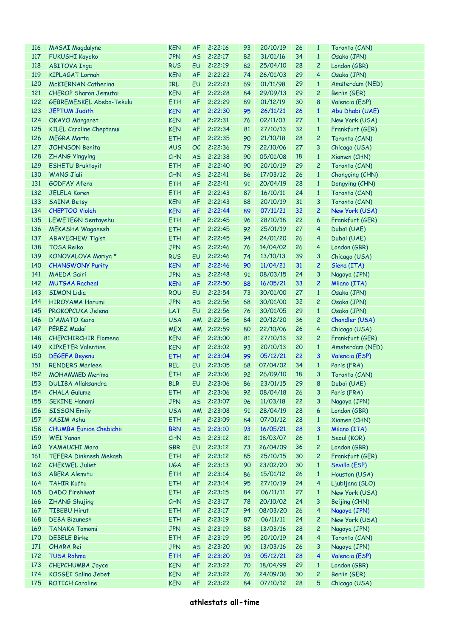| <b>116</b> | <b>MASAI Magdalyne</b>          | <b>KEN</b> | <b>AF</b> | 2:22:16    | 93 | 20/10/19 | 26 | $\mathbf{1}$   | Toronto (CAN)   |
|------------|---------------------------------|------------|-----------|------------|----|----------|----|----------------|-----------------|
| 117        | <b>FUKUSHI Kayoko</b>           | <b>JPN</b> | <b>AS</b> | 2:22:17    | 82 | 31/01/16 | 34 | $\mathbf{1}$   | Osaka (JPN)     |
| 118        | <b>ABITOVA Inga</b>             | <b>RUS</b> | EU        | 2:22:19    | 82 | 25/04/10 | 28 | $\mathbf{2}$   | London (GBR)    |
| 119        | <b>KIPLAGAT Lornah</b>          | <b>KEN</b> | <b>AF</b> | 2:22:22    | 74 | 26/01/03 | 29 | 4              | Osaka (JPN)     |
| 120        | <b>McKIERNAN Catherina</b>      | <b>IRL</b> | EU        | 2:22:23    | 69 | 01/11/98 | 29 | $\mathbf{1}$   | Amsterdam (NED) |
| 121        | <b>CHEROP Sharon Jemutai</b>    | <b>KEN</b> | <b>AF</b> | 2:22:28    | 84 | 29/09/13 | 29 | $\mathbf{2}$   | Berlin (GER)    |
| 122        | GEBREMESKEL Abeba-Tekulu        | <b>ETH</b> | <b>AF</b> | 2:22:29    | 89 | 01/12/19 | 30 | 8              | Valencia (ESP)  |
| 123        | <b>JEPTUM Judith</b>            | <b>KEN</b> | <b>AF</b> | 2:22:30    | 95 | 26/11/21 | 26 | $\mathbf{1}$   | Abu Dhabi (UAE) |
| 124        | <b>OKAYO Margaret</b>           | <b>KEN</b> | <b>AF</b> | 2:22:31    | 76 | 02/11/03 | 27 | $\mathbf{1}$   | New York (USA)  |
| 125        | <b>KILEL Caroline Cheptanui</b> |            |           | 2:22:34    |    | 27/10/13 | 32 | $\mathbf{1}$   |                 |
|            |                                 | <b>KEN</b> | <b>AF</b> |            | 81 |          |    |                | Frankfurt (GER) |
| 126        | <b>MEGRA Marta</b>              | <b>ETH</b> | <b>AF</b> | 2:22:35    | 90 | 21/10/18 | 28 | $\mathbf{2}$   | Toronto (CAN)   |
| 127        | <b>JOHNSON Benita</b>           | <b>AUS</b> | OC        | 2:22:36    | 79 | 22/10/06 | 27 | 3              | Chicago (USA)   |
| 128        | <b>ZHANG Yingying</b>           | CHN        | <b>AS</b> | 2:22:38    | 90 | 05/01/08 | 18 | $\mathbf{1}$   | Xiamen (CHN)    |
| 129        | <b>ESHETU Bruktayit</b>         | <b>ETH</b> | <b>AF</b> | 2:22:40    | 90 | 20/10/19 | 29 | $\mathbf{2}$   | Toronto (CAN)   |
| 130        | <b>WANG Jiali</b>               | CHN        | <b>AS</b> | 2:22:41    | 86 | 17/03/12 | 26 | $\mathbf{1}$   | Chongqing (CHN) |
| 131        | GODFAY Afera                    | <b>ETH</b> | <b>AF</b> | 2:22:41    | 91 | 20/04/19 | 28 | $\mathbf{1}$   | Dongying (CHN)  |
| 132        | <b>JELELA Koren</b>             | <b>ETH</b> | <b>AF</b> | 2:22:43    | 87 | 16/10/11 | 24 | $\mathbf{1}$   | Toronto (CAN)   |
| 133        | <b>SAINA Betsy</b>              | <b>KEN</b> | <b>AF</b> | 2:22:43    | 88 | 20/10/19 | 31 | 3              | Toronto (CAN)   |
| 134        | <b>CHEPTOO Violah</b>           | <b>KEN</b> | <b>AF</b> | 2:22:44    | 89 | 07/11/21 | 32 | $\overline{c}$ | New York (USA)  |
| 135        | LEWETEGN Sentayehu              | <b>ETH</b> | <b>AF</b> | 2:22:45    | 96 | 28/10/18 | 22 | 6              | Frankfurt (GER) |
| 136        | <b>MEKASHA Waganesh</b>         | <b>ETH</b> | <b>AF</b> | 2:22:45    | 92 | 25/01/19 | 27 | 4              | Dubaï (UAE)     |
| 137        | <b>ABAYECHEW Tigist</b>         | <b>ETH</b> | <b>AF</b> | 2:22:45    | 94 | 24/01/20 | 26 | 4              | Dubai (UAE)     |
| 138        | <b>TOSA Reiko</b>               | <b>JPN</b> | <b>AS</b> | 2:22:46    | 76 | 14/04/02 | 26 | 4              | London (GBR)    |
| 139        | KONOVALOVA Mariya *             | <b>RUS</b> | EU        | 2:22:46    | 74 | 13/10/13 | 39 | 3              | Chicago (USA)   |
| 140        | <b>CHANGWONY Purity</b>         | <b>KEN</b> | <b>AF</b> | 2:22:46    | 90 | 11/04/21 | 31 | $\overline{2}$ | Siena (ITA)     |
| 141        | <b>MAEDA Sairi</b>              | <b>JPN</b> | <b>AS</b> | 2:22:48    | 91 | 08/03/15 | 24 | 3              | Nagoya (JPN)    |
| 142        | <b>MUTGAA Racheal</b>           | <b>KEN</b> | <b>AF</b> | 2:22:50    | 88 | 16/05/21 | 33 |                |                 |
|            |                                 |            |           |            |    |          |    | $\overline{c}$ | Milano (ITA)    |
| 143        | <b>SIMON Lidia</b>              | <b>ROU</b> | EU        | 2:22:54    | 73 | 30/01/00 | 27 | $\mathbf{1}$   | Osaka (JPN)     |
| 144        | <b>HIROYAMA Harumi</b>          | <b>JPN</b> | <b>AS</b> | 2:22:56    | 68 | 30/01/00 | 32 | $\overline{c}$ | Osaka (JPN)     |
| 145        | PROKOPCUKA Jelena               | LAT        | EU        | 2:22:56    | 76 | 30/01/05 | 29 | $\mathbf{1}$   | Osaka (JPN)     |
| 146        | D'AMATO Keira                   | <b>USA</b> | AM        | 2:22:56    | 84 | 20/12/20 | 36 | $\overline{c}$ | Chandler (USA)  |
| 147        | PÉREZ Madaí                     | <b>MEX</b> | AM        | 2:22:59    | 80 | 22/10/06 | 26 | 4              | Chicago (USA)   |
| 148        | <b>CHEPCHIRCHIR Flomena</b>     | <b>KEN</b> | <b>AF</b> | 2:23:00    | 81 | 27/10/13 | 32 | $\mathbf{2}$   | Frankfurt (GER) |
| 149        | <b>KIPKETER Valentine</b>       | <b>KEN</b> | <b>AF</b> | 2:23:02    | 93 | 20/10/13 | 20 | $\mathbf{1}$   | Amsterdam (NED) |
| 150        | <b>DEGEFA Beyenu</b>            | <b>ETH</b> | <b>AF</b> | 2:23:04    | 99 | 05/12/21 | 22 | 3              | Valencia (ESP)  |
| 151        | <b>RENDERS Marleen</b>          | <b>BEL</b> | EU        | 2:23:05    | 68 | 07/04/02 | 34 | $\mathbf{1}$   | Paris (FRA)     |
| 152        | <b>MOHAMMED Merima</b>          | <b>ETH</b> | <b>AF</b> | 2:23:06    | 92 | 26/09/10 | 18 | 3              | Toronto (CAN)   |
|            | 153 DULIBA Aliaksandra          | <b>BLR</b> |           | EU 2:23:06 | 86 | 23/01/15 | 29 | 8              | Dubaï (UAE)     |
| 154        | <b>CHALA Gulume</b>             | <b>ETH</b> | AF        | 2:23:06    | 92 | 08/04/18 | 26 | 3              | Paris (FRA)     |
| 155        | <b>SEKINE Hanami</b>            | <b>JPN</b> | <b>AS</b> | 2:23:07    | 96 | 11/03/18 | 22 | 3              | Nagoya (JPN)    |
| 156        | <b>SISSON Emily</b>             | <b>USA</b> | AM        | 2:23:08    | 91 | 28/04/19 | 28 | 6              | London (GBR)    |
| 157        | <b>KASIM Ashu</b>               | <b>ETH</b> | AF        | 2:23:09    | 84 | 07/01/12 | 28 | $\mathbf{1}$   | Xiamen (CHN)    |
| 158        | <b>CHUMBA Eunice Chebichii</b>  | <b>BRN</b> | <b>AS</b> | 2:23:10    | 93 | 16/05/21 | 28 | 3              | Milano (ITA)    |
| 159        | <b>WEI Yanan</b>                | CHN        | <b>AS</b> | 2:23:12    | 81 | 18/03/07 | 26 | $\mathbf{1}$   | Seoul (KOR)     |
| 160        | <b>YAMAUCHI Mara</b>            | <b>GBR</b> | EU        | 2:23:12    | 73 | 26/04/09 | 36 | $\overline{c}$ | London (GBR)    |
| 161        | <b>TEFERA Dinknesh Mekash</b>   | <b>ETH</b> | AF        | 2:23:12    | 85 | 25/10/15 | 30 |                | Frankfurt (GER) |
|            |                                 |            |           |            |    |          |    | 2              |                 |
| 162        | <b>CHEKWEL Juliet</b>           | <b>UGA</b> | AF        | 2:23:13    | 90 | 23/02/20 | 30 | $\mathbf{1}$   | Sevilla (ESP)   |
| 163        | <b>ABERA Alemitu</b>            | <b>ETH</b> | AF        | 2:23:14    | 86 | 15/01/12 | 26 | $\mathbf{1}$   | Houston (USA)   |
| 164        | <b>TAHIR Kuftu</b>              | <b>ETH</b> | <b>AF</b> | 2:23:14    | 95 | 27/10/19 | 24 | 4              | Ljubljana (SLO) |
| 165        | <b>DADO Firehiwot</b>           | <b>ETH</b> | AF        | 2:23:15    | 84 | 06/11/11 | 27 | $\mathbf{1}$   | New York (USA)  |
| 166        | <b>ZHANG Shujing</b>            | CHN        | <b>AS</b> | 2:23:17    | 78 | 20/10/02 | 24 | 3              | Beijing (CHN)   |
| 167        | <b>TIBEBU Hirut</b>             | <b>ETH</b> | AF        | 2:23:17    | 94 | 08/03/20 | 26 | 4              | Nagoya (JPN)    |
| 168        | <b>DEBA Bizunesh</b>            | <b>ETH</b> | AF        | 2:23:19    | 87 | 06/11/11 | 24 | $\mathbf{2}$   | New York (USA)  |
| 169        | <b>TANAKA Tomomi</b>            | <b>JPN</b> | <b>AS</b> | 2:23:19    | 88 | 13/03/16 | 28 | $\mathbf{2}$   | Nagoya (JPN)    |
| 170        | <b>DEBELE Birke</b>             | <b>ETH</b> | AF        | 2:23:19    | 95 | 20/10/19 | 24 | 4              | Toronto (CAN)   |
| 171        | <b>OHARA Rei</b>                | <b>JPN</b> | <b>AS</b> | 2:23:20    | 90 | 13/03/16 | 26 | 3              | Nagoya (JPN)    |
| 172        | <b>TUSA Rahma</b>               | <b>ETH</b> | AF        | 2:23:20    | 93 | 05/12/21 | 28 | 4              | Valencia (ESP)  |
| 173        | CHEPCHUMBA Joyce                | <b>KEN</b> | AF        | 2:23:22    | 70 | 18/04/99 | 29 | $\mathbf{1}$   | London (GBR)    |
| 174        | KOSGEI Salina Jebet             | <b>KEN</b> | <b>AF</b> | 2:23:22    | 76 | 24/09/06 | 30 | $\overline{c}$ | Berlin (GER)    |
| 175        | <b>ROTICH Caroline</b>          | <b>KEN</b> | <b>AF</b> | 2:23:22    | 84 | 07/10/12 | 28 | 5              | Chicago (USA)   |
|            |                                 |            |           |            |    |          |    |                |                 |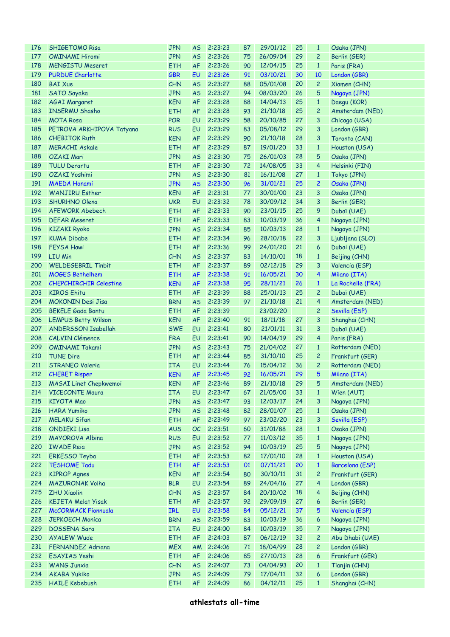| 176 | <b>SHIGETOMO Risa</b>         | <b>JPN</b> | <b>AS</b> | 2:23:23    | 87 | 29/01/12 | 25 | $\mathbf{1}$   | Osaka (JPN)                  |
|-----|-------------------------------|------------|-----------|------------|----|----------|----|----------------|------------------------------|
| 177 | <b>OMINAMI Hiromi</b>         | <b>JPN</b> | <b>AS</b> | 2:23:26    | 75 | 26/09/04 | 29 | $\overline{c}$ | Berlin (GER)                 |
| 178 | <b>MENGISTU Meseret</b>       | <b>ETH</b> | <b>AF</b> | 2:23:26    | 90 | 12/04/15 | 25 | $\mathbf{1}$   | Paris (FRA)                  |
| 179 | <b>PURDUE Charlotte</b>       | <b>GBR</b> | EU        | 2:23:26    | 91 | 03/10/21 | 30 | 10             | London (GBR)                 |
| 180 | <b>BAI Xue</b>                | CHN        | <b>AS</b> | 2:23:27    | 88 | 05/01/08 | 20 | $\overline{c}$ | Xiamen (CHN)                 |
| 181 | <b>SATO Sayaka</b>            | <b>JPN</b> | <b>AS</b> | 2:23:27    | 94 | 08/03/20 | 26 | 5              | Nagoya (JPN)                 |
| 182 | <b>AGAI Margaret</b>          | <b>KEN</b> | <b>AF</b> | 2:23:28    | 88 | 14/04/13 | 25 | $\mathbf{1}$   | Daegu (KOR)                  |
| 183 | <b>INSERMU Shasho</b>         | <b>ETH</b> | <b>AF</b> | 2:23:28    | 93 | 21/10/18 | 25 | 2              | Amsterdam (NED)              |
| 184 | <b>MOTA Rosa</b>              | <b>POR</b> | EU        | 2:23:29    | 58 | 20/10/85 | 27 | 3              | Chicago (USA)                |
| 185 | PETROVA ARKHIPOVA Tatyana     | <b>RUS</b> | EU        | 2:23:29    | 83 | 05/08/12 | 29 | 3              | London (GBR)                 |
| 186 | <b>CHEBITOK Ruth</b>          | <b>KEN</b> | <b>AF</b> | 2:23:29    | 90 | 21/10/18 | 28 | 3              | Toronto (CAN)                |
| 187 | <b>MERACHI Askale</b>         | <b>ETH</b> | <b>AF</b> | 2:23:29    | 87 | 19/01/20 | 33 | $\mathbf{1}$   | Houston (USA)                |
| 188 | <b>OZAKI Mari</b>             | <b>JPN</b> | <b>AS</b> | 2:23:30    | 75 | 26/01/03 | 28 | 5              | Osaka (JPN)                  |
| 189 | <b>TULU Derartu</b>           | <b>ETH</b> | <b>AF</b> | 2:23:30    | 72 | 14/08/05 | 33 | 4              |                              |
|     | <b>OZAKI Yoshimi</b>          |            |           | 2:23:30    |    |          | 27 |                | Helsinki (FIN)               |
| 190 |                               | <b>JPN</b> | <b>AS</b> |            | 81 | 16/11/08 |    | $\mathbf{1}$   | Tokyo (JPN)                  |
| 191 | <b>MAEDA Honami</b>           | <b>JPN</b> | <b>AS</b> | 2:23:30    | 96 | 31/01/21 | 25 | $\overline{c}$ | Osaka (JPN)                  |
| 192 | <b>WANJIRU Esther</b>         | <b>KEN</b> | <b>AF</b> | 2:23:31    | 77 | 30/01/00 | 23 | 3              | Osaka (JPN)                  |
| 193 | <b>SHURHNO Olena</b>          | <b>UKR</b> | EU        | 2:23:32    | 78 | 30/09/12 | 34 | 3              | Berlin (GER)                 |
| 194 | <b>AFEWORK Abebech</b>        | <b>ETH</b> | <b>AF</b> | 2:23:33    | 90 | 23/01/15 | 25 | 9              | Dubaï (UAE)                  |
| 195 | <b>DEFAR Meseret</b>          | <b>ETH</b> | <b>AF</b> | 2:23:33    | 83 | 10/03/19 | 36 | 4              | Nagoya (JPN)                 |
| 196 | <b>KIZAKI Ryoko</b>           | <b>JPN</b> | <b>AS</b> | 2:23:34    | 85 | 10/03/13 | 28 | $\mathbf{1}$   | Nagoya (JPN)                 |
| 197 | <b>KUMA Dibabe</b>            | <b>ETH</b> | <b>AF</b> | 2:23:34    | 96 | 28/10/18 | 22 | 3              | Ljubljana (SLO)              |
| 198 | <b>FEYSA Hawi</b>             | <b>ETH</b> | <b>AF</b> | 2:23:36    | 99 | 24/01/20 | 21 | 6              | Dubai (UAE)                  |
| 199 | <b>LIU Min</b>                | CHN        | <b>AS</b> | 2:23:37    | 83 | 14/10/01 | 18 | $\mathbf{1}$   | Beijing (CHN)                |
| 200 | <b>WELDEGEBRIL Tinbit</b>     | <b>ETH</b> | <b>AF</b> | 2:23:37    | 89 | 02/12/18 | 29 | 3              | Valencia (ESP)               |
| 201 | <b>MOGES Bethelhem</b>        | <b>ETH</b> | <b>AF</b> | 2:23:38    | 91 | 16/05/21 | 30 | 4              | Milano (ITA)                 |
| 202 | <b>CHEPCHIRCHIR Celestine</b> | <b>KEN</b> | <b>AF</b> | 2:23:38    | 95 | 28/11/21 | 26 | $\mathbf{1}$   | La Rochelle (FRA)            |
| 203 | <b>KIROS Ehitu</b>            | <b>ETH</b> | <b>AF</b> | 2:23:39    | 88 | 25/01/13 | 25 | 2              | Dubaï (UAE)                  |
| 204 | <b>MOKONIN Desi Jisa</b>      | <b>BRN</b> | <b>AS</b> | 2:23:39    | 97 | 21/10/18 | 21 | 4              | Amsterdam (NED)              |
| 205 | <b>BEKELE Gada Bontu</b>      | <b>ETH</b> | <b>AF</b> | 2:23:39    |    | 23/02/20 |    | 2              | Sevilla (ESP)                |
| 206 | <b>LEMPUS Betty Wilson</b>    | <b>KEN</b> | <b>AF</b> | 2:23:40    | 91 | 18/11/18 | 27 | 3              | Shanghai (CHN)               |
| 207 | ANDERSSON Isabellah           | <b>SWE</b> | EU        | 2:23:41    | 80 | 21/01/11 | 31 | 3              | Dubaï (UAE)                  |
| 208 | <b>CALVIN Clémence</b>        | <b>FRA</b> | EU        | 2:23:41    | 90 | 14/04/19 | 29 | 4              | Paris (FRA)                  |
| 209 | <b>OMINAMI Takami</b>         | <b>JPN</b> | <b>AS</b> | 2:23:43    | 75 | 21/04/02 | 27 | $\mathbf{1}$   | Rotterdam (NED)              |
| 210 | <b>TUNE Dire</b>              | <b>ETH</b> | <b>AF</b> | 2:23:44    | 85 | 31/10/10 | 25 | $\overline{c}$ | Frankfurt (GER)              |
| 211 | STRANEO Valeria               | <b>ITA</b> | EU        | 2:23:44    | 76 | 15/04/12 | 36 | $\overline{c}$ | Rotterdam (NED)              |
| 212 | <b>CHEBET Risper</b>          | <b>KEN</b> | <b>AF</b> | 2:23:45    | 92 | 16/05/21 | 29 | 5              | Milano (ITA)                 |
|     | 213 MASAI Linet Chepkwemoi    | <b>KEN</b> |           | AF 2:23:46 | 89 | 21/10/18 | 29 |                | 5 Amsterdam (NED)            |
| 214 | <b>VICECONTE Maura</b>        | <b>ITA</b> | EU        | 2:23:47    | 67 | 21/05/00 | 33 | $\mathbf{1}$   | Wien (AUT)                   |
| 215 | <b>KIYOTA Mao</b>             | <b>JPN</b> | <b>AS</b> | 2:23:47    | 93 | 12/03/17 | 24 | 3              | Nagoya (JPN)                 |
|     |                               |            |           |            |    |          |    |                |                              |
| 216 | <b>HARA Yumiko</b>            | <b>JPN</b> | <b>AS</b> | 2:23:48    | 82 | 28/01/07 | 25 | $\mathbf{1}$   | Osaka (JPN)<br>Sevilla (ESP) |
| 217 | <b>MELAKU Sifan</b>           | <b>ETH</b> | <b>AF</b> | 2:23:49    | 97 | 23/02/20 | 23 | 3              |                              |
| 218 | <b>ONDIEKI Lisa</b>           | <b>AUS</b> | OC        | 2:23:51    | 60 | 31/01/88 | 28 | $\mathbf{1}$   | Osaka (JPN)                  |
| 219 | <b>MAYOROVA Albina</b>        | <b>RUS</b> | EU        | 2:23:52    | 77 | 11/03/12 | 35 | $\mathbf{1}$   | Nagoya (JPN)                 |
| 220 | <b>IWADE Reia</b>             | <b>JPN</b> | <b>AS</b> | 2:23:52    | 94 | 10/03/19 | 25 | 5              | Nagoya (JPN)                 |
| 221 | <b>ERKESSO Teyba</b>          | <b>ETH</b> | AF        | 2:23:53    | 82 | 17/01/10 | 28 | $\mathbf{1}$   | Houston (USA)                |
| 222 | <b>TESHOME Tadu</b>           | <b>ETH</b> | <b>AF</b> | 2:23:53    | 01 | 07/11/21 | 20 | $\mathbf{1}$   | Barcelona (ESP)              |
| 223 | <b>KIPROP Agnes</b>           | <b>KEN</b> | AF        | 2:23:54    | 80 | 30/10/11 | 31 | 2              | Frankfurt (GER)              |
| 224 | <b>MAZURONAK Volha</b>        | <b>BLR</b> | EU        | 2:23:54    | 89 | 24/04/16 | 27 | 4              | London (GBR)                 |
| 225 | <b>ZHU Xiaolin</b>            | CHN        | <b>AS</b> | 2:23:57    | 84 | 20/10/02 | 18 | $\overline{4}$ | Beijing (CHN)                |
| 226 | <b>KEJETA Melat Yisak</b>     | <b>ETH</b> | AF        | 2:23:57    | 92 | 29/09/19 | 27 | 6              | Berlin (GER)                 |
| 227 | <b>McCORMACK Fionnuala</b>    | <b>IRL</b> | EU        | 2:23:58    | 84 | 05/12/21 | 37 | 5              | Valencia (ESP)               |
| 228 | <b>JEPKOECH Monica</b>        | <b>BRN</b> | <b>AS</b> | 2:23:59    | 83 | 10/03/19 | 36 | 6              | Nagoya (JPN)                 |
| 229 | <b>DOSSENA Sara</b>           | <b>ITA</b> | EU        | 2:24:00    | 84 | 10/03/19 | 35 | 7              | Nagoya (JPN)                 |
| 230 | <b>AYALEW Wude</b>            | <b>ETH</b> | AF        | 2:24:03    | 87 | 06/12/19 | 32 | 2              | Abu Dhabi (UAE)              |
| 231 | FERNANDEZ Adriana             | <b>MEX</b> | AM        | 2:24:06    | 71 | 18/04/99 | 28 | 2              | London (GBR)                 |
| 232 | ESAYIAS Yeshi                 | <b>ETH</b> | <b>AF</b> | 2:24:06    | 85 | 27/10/13 | 28 | 6              | Frankfurt (GER)              |
| 233 | <b>WANG Junxia</b>            | CHN        | <b>AS</b> | 2:24:07    | 73 | 04/04/93 | 20 | $\mathbf{1}$   | Tianjin (CHN)                |
| 234 | <b>AKABA Yukiko</b>           | <b>JPN</b> | <b>AS</b> | 2:24:09    | 79 | 17/04/11 | 32 | 6              | London (GBR)                 |
| 235 | <b>HAILE Kebebush</b>         | <b>ETH</b> | <b>AF</b> | 2:24:09    | 86 | 04/12/11 | 25 | $\mathbf{1}$   | Shanghai (CHN)               |
|     |                               |            |           |            |    |          |    |                |                              |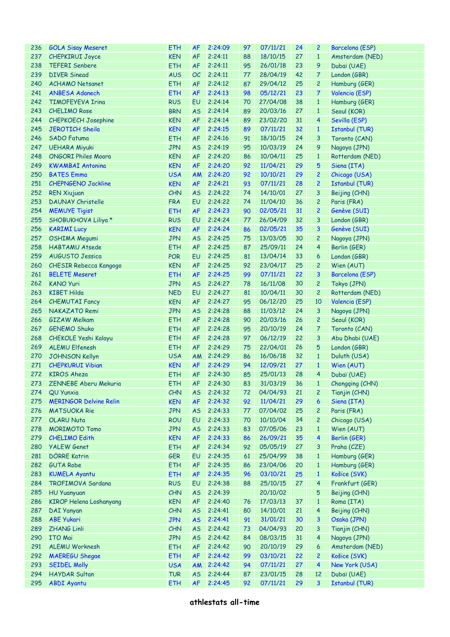| 236 | <b>GOLA Sisay Meseret</b>      | <b>ETH</b> | <b>AF</b> | 2:24:09    | 97 | 07/11/21    | 24 | 2              | <b>Barcelona (ESP)</b> |
|-----|--------------------------------|------------|-----------|------------|----|-------------|----|----------------|------------------------|
| 237 | <b>CHEPKIRUI Joyce</b>         | <b>KEN</b> | <b>AF</b> | 2:24:11    | 88 | 18/10/15    | 27 | $\mathbf{1}$   | Amsterdam (NED)        |
| 238 | <b>TEFERI Senbere</b>          | <b>ETH</b> | AF        | 2:24:11    | 95 | 26/01/18    | 23 | 9              | Dubaï (UAE)            |
| 239 | <b>DIVER Sinead</b>            | <b>AUS</b> | OC        | 2:24:11    | 77 | 28/04/19    | 42 | 7              | London (GBR)           |
| 240 | <b>ACHAMO Netsanet</b>         | <b>ETH</b> | AF        | 2:24:12    | 87 | 29/04/12    | 25 | $\overline{c}$ | Hamburg (GER)          |
| 241 | <b>ANBESA Adanech</b>          | <b>ETH</b> | <b>AF</b> | 2:24:13    | 98 | 05/12/21    | 23 | 7              | Valencia (ESP)         |
| 242 | <b>TIMOFEYEVA Irina</b>        | <b>RUS</b> | EU        | 2:24:14    | 70 | 27/04/08    | 38 | $\mathbf{1}$   | Hamburg (GER)          |
| 243 | <b>CHELIMO Rose</b>            | <b>BRN</b> | <b>AS</b> | 2:24:14    | 89 | 20/03/16    | 27 | $\mathbf{1}$   | Seoul (KOR)            |
| 244 | <b>CHEPKOECH Josephine</b>     | <b>KEN</b> | <b>AF</b> | 2:24:14    | 89 | 23/02/20    | 31 | 4              | Sevilla (ESP)          |
| 245 | <b>JEROTICH Sheila</b>         |            |           | 2:24:15    |    | 07/11/21    | 32 | $\mathbf{1}$   |                        |
|     |                                | <b>KEN</b> | <b>AF</b> |            | 89 |             |    |                | <b>Istanbul (TUR)</b>  |
| 246 | <b>SADO Fatuma</b>             | <b>ETH</b> | <b>AF</b> | 2:24:16    | 91 | 18/10/15    | 24 | 3              | Toronto (CAN)          |
| 247 | <b>UEHARA Miyuki</b>           | <b>JPN</b> | <b>AS</b> | 2:24:19    | 95 | 10/03/19    | 24 | 9              | Nagoya (JPN)           |
| 248 | <b>ONGORI Philes Moora</b>     | <b>KEN</b> | <b>AF</b> | 2:24:20    | 86 | 10/04/11    | 25 | $\mathbf{1}$   | Rotterdam (NED)        |
| 249 | <b>KWAMBAI Antonina</b>        | <b>KEN</b> | <b>AF</b> | 2:24:20    | 92 | 11/04/21    | 29 | 5              | Siena (ITA)            |
| 250 | <b>BATES Emma</b>              | <b>USA</b> | <b>AM</b> | 2:24:20    | 92 | 10/10/21    | 29 | $\overline{c}$ | Chicago (USA)          |
| 251 | <b>CHEPNGENO Jackline</b>      | <b>KEN</b> | <b>AF</b> | 2:24:21    | 93 | 07/11/21    | 28 | $\overline{c}$ | <b>Istanbul (TUR)</b>  |
| 252 | <b>REN Xiujuan</b>             | CHN        | <b>AS</b> | 2:24:22    | 74 | 14/10/01    | 27 | 3              | Beijing (CHN)          |
| 253 | <b>DAUNAY Christelle</b>       | <b>FRA</b> | EU        | 2:24:22    | 74 | 11/04/10    | 36 | $\overline{c}$ | Paris (FRA)            |
| 254 | <b>MEMUYE Tigist</b>           | <b>ETH</b> | <b>AF</b> | 2:24:23    | 90 | 02/05/21    | 31 | $\overline{c}$ | Genève (SUI)           |
| 255 | SHOBUKHOVA Liliya *            | <b>RUS</b> | EU        | 2:24:24    | 77 | 26/04/09    | 32 | 3              | London (GBR)           |
| 256 | <b>KARIMI Lucy</b>             | <b>KEN</b> | <b>AF</b> | 2:24:24    | 86 | 02/05/21    | 35 | 3              | Genève (SUI)           |
| 257 | OSHIMA Megumi                  | <b>JPN</b> | <b>AS</b> | 2:24:25    | 75 | 13/03/05    | 30 | $\overline{c}$ | Nagoya (JPN)           |
| 258 | <b>HABTAMU Atsede</b>          | <b>ETH</b> | <b>AF</b> | 2:24:25    | 87 | 25/09/11    | 24 | 4              | Berlin (GER)           |
| 259 | <b>AUGUSTO Jessica</b>         | <b>POR</b> | EU        | 2:24:25    | 81 | 13/04/14    | 33 | 6              | London (GBR)           |
| 260 | <b>CHESIR Rebecca Kangogo</b>  | <b>KEN</b> | <b>AF</b> | 2:24:25    | 92 | 23/04/17    | 25 | $\overline{c}$ | Wien (AUT)             |
| 261 | <b>BELETE Meseret</b>          | <b>ETH</b> | <b>AF</b> | 2:24:25    | 99 | 07/11/21    | 22 | 3              |                        |
|     |                                |            |           |            |    |             |    |                | Barcelona (ESP)        |
| 262 | <b>KANO Yuri</b>               | <b>JPN</b> | <b>AS</b> | 2:24:27    | 78 | 16/11/08    | 30 | 2              | Tokyo (JPN)            |
| 263 | <b>KIBET Hilda</b>             | <b>NED</b> | EU        | 2:24:27    | 81 | 10/04/11    | 30 | $\overline{c}$ | Rotterdam (NED)        |
| 264 | <b>CHEMUTAI Fancy</b>          | <b>KEN</b> | <b>AF</b> | 2:24:27    | 95 | 06/12/20    | 25 | 10             | Valencia (ESP)         |
| 265 | NAKAZATO Remi                  | <b>JPN</b> | <b>AS</b> | 2:24:28    | 88 | 11/03/12    | 24 | 3              | Nagoya (JPN)           |
| 266 | <b>GIZAW Melkam</b>            | <b>ETH</b> | <b>AF</b> | 2:24:28    | 90 | 20/03/16    | 26 | $\overline{c}$ | Seoul (KOR)            |
| 267 | <b>GENEMO Shuko</b>            | <b>ETH</b> | <b>AF</b> | 2:24:28    | 95 | 20/10/19    | 24 | 7.             | Toronto (CAN)          |
| 268 | <b>CHEKOLE Yeshi Kalayu</b>    | <b>ETH</b> | <b>AF</b> | 2:24:28    | 97 | 06/12/19    | 22 | 3              | Abu Dhabi (UAE)        |
| 269 | <b>ALEMU Elfenesh</b>          | <b>ETH</b> | <b>AF</b> | 2:24:29    | 75 | 22/04/01    | 26 | 5              | London (GBR)           |
| 270 | <b>JOHNSON Kellyn</b>          | <b>USA</b> | AM        | 2:24:29    | 86 | 16/06/18    | 32 | $\mathbf{1}$   | Duluth (USA)           |
| 271 | <b>CHEPKURUI Vibian</b>        | <b>KEN</b> | <b>AF</b> | 2:24:29    | 94 | 12/09/21    | 27 | $\mathbf{1}$   | Wien (AUT)             |
| 272 | <b>KIROS Aheza</b>             | <b>ETH</b> | AF        | 2:24:30    | 85 | 25/01/13    | 28 | $\overline{4}$ | Dubaï (UAE)            |
|     | 273 ZENNEBE Aberu Mekuria      | <b>ETH</b> |           | AF 2:24:30 | 83 | 31/03/19 36 |    | $\sim$ 1       | Chongqing (CHN)        |
| 274 | QU Yunxia                      | CHN        | <b>AS</b> | 2:24:32    | 72 | 04/04/93    | 21 | 2              | Tianjin (CHN)          |
| 275 | <b>MERINGOR Delvine Relin</b>  | <b>KEN</b> | AF        | 2:24:32    | 92 | 11/04/21    | 29 | 6              | Siena (ITA)            |
| 276 | <b>MATSUOKA Rie</b>            | <b>JPN</b> | <b>AS</b> | 2:24:33    | 77 | 07/04/02    | 25 | $\overline{c}$ | Paris (FRA)            |
| 277 | <b>OLARU Nuta</b>              | <b>ROU</b> | EU        | 2:24:33    | 70 | 10/10/04    | 34 | 2              | Chicago (USA)          |
| 278 | <b>MORIMOTO Tomo</b>           | <b>JPN</b> | <b>AS</b> | 2:24:33    | 83 | 07/05/06    | 23 | $\mathbf{1}$   | Wien (AUT)             |
| 279 | <b>CHELIMO Edith</b>           | <b>KEN</b> | <b>AF</b> | 2:24:33    | 86 | 26/09/21    | 35 | $\overline{4}$ | Berlin (GER)           |
|     |                                |            |           |            |    |             |    |                |                        |
| 280 | <b>YALEW Genet</b>             | <b>ETH</b> | <b>AF</b> | 2:24:34    | 92 | 05/05/19    | 27 | 3              | Praha (CZE)            |
| 281 | <b>DÖRRE Katrin</b>            | <b>GER</b> | EU        | 2:24:35    | 61 | 25/04/99    | 38 | $\mathbf{1}$   | Hamburg (GER)          |
| 282 | <b>GUTA Robe</b>               | <b>ETH</b> | AF        | 2:24:35    | 86 | 23/04/06    | 20 | $\mathbf{1}$   | Hamburg (GER)          |
| 283 | <b>KUMELA Ayantu</b>           | <b>ETH</b> | AF        | 2:24:35    | 96 | 03/10/21    | 25 | $\mathbf{1}$   | Košice (SVK)           |
| 284 | TROFIMOVA Sardana              | <b>RUS</b> | EU        | 2:24:38    | 88 | 25/10/15    | 27 | $\overline{4}$ | Frankfurt (GER)        |
| 285 | <b>HU Yuanyuan</b>             | CHN        | <b>AS</b> | 2:24:39    |    | 20/10/02    |    | 5              | Beijing (CHN)          |
| 286 | <b>KIROP Helena Loshanyang</b> | <b>KEN</b> | AF        | 2:24:40    | 76 | 17/03/13    | 37 | $\mathbf{1}$   | Roma (ITA)             |
| 287 | DAI Yanyan                     | CHN        | <b>AS</b> | 2:24:41    | 80 | 14/10/01    | 21 | $\overline{4}$ | Beijing (CHN)          |
| 288 | <b>ABE Yukari</b>              | <b>JPN</b> | <b>AS</b> | 2:24:41    | 91 | 31/01/21    | 30 | 3              | Osaka (JPN)            |
| 289 | <b>ZHANG Linli</b>             | CHN        | <b>AS</b> | 2:24:42    | 73 | 04/04/93    | 20 | 3              | Tianjin (CHN)          |
| 290 | <b>ITO Mai</b>                 | <b>JPN</b> | <b>AS</b> | 2:24:42    | 84 | 08/03/15    | 31 | 4              | Nagoya (JPN)           |
| 291 | ALEMU Worknesh                 | <b>ETH</b> | AF        | 2:24:42    | 90 | 20/10/19    | 29 | 6              | Amsterdam (NED)        |
| 292 | <b>MAEREGU Shegae</b>          | <b>ETH</b> | AF        | 2:24:42    | 99 | 03/10/21    | 22 | $\overline{c}$ | Košice (SVK)           |
| 293 | <b>SEIDEL Molly</b>            | <b>USA</b> | AM        | 2:24:42    | 94 | 07/11/21    | 27 | $\overline{4}$ | New York (USA)         |
| 294 | HAYDAR Sultan                  | <b>TUR</b> | <b>AS</b> | 2:24:44    | 87 | 23/01/15    | 28 | 12             | Dubaï (UAE)            |
| 295 | <b>ABDI Ayantu</b>             | <b>ETH</b> | AF        | 2:24:45    | 92 | 07/11/21    | 29 | 3              | <b>Istanbul (TUR)</b>  |
|     |                                |            |           |            |    |             |    |                |                        |